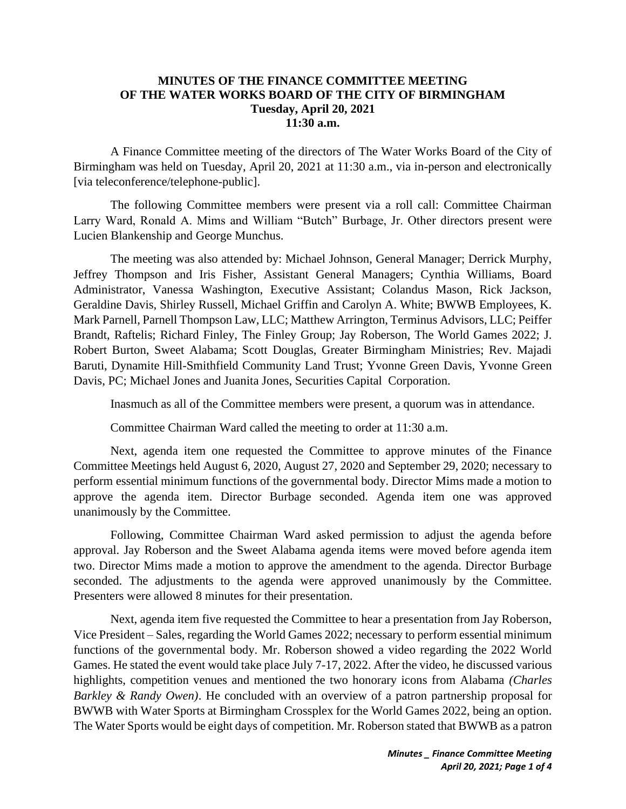## **MINUTES OF THE FINANCE COMMITTEE MEETING OF THE WATER WORKS BOARD OF THE CITY OF BIRMINGHAM Tuesday, April 20, 2021 11:30 a.m.**

A Finance Committee meeting of the directors of The Water Works Board of the City of Birmingham was held on Tuesday, April 20, 2021 at 11:30 a.m., via in-person and electronically [via teleconference/telephone-public].

The following Committee members were present via a roll call: Committee Chairman Larry Ward, Ronald A. Mims and William "Butch" Burbage, Jr. Other directors present were Lucien Blankenship and George Munchus.

The meeting was also attended by: Michael Johnson, General Manager; Derrick Murphy, Jeffrey Thompson and Iris Fisher, Assistant General Managers; Cynthia Williams, Board Administrator, Vanessa Washington, Executive Assistant; Colandus Mason, Rick Jackson, Geraldine Davis, Shirley Russell, Michael Griffin and Carolyn A. White; BWWB Employees, K. Mark Parnell, Parnell Thompson Law, LLC; Matthew Arrington, Terminus Advisors, LLC; Peiffer Brandt, Raftelis; Richard Finley, The Finley Group; Jay Roberson, The World Games 2022; J. Robert Burton, Sweet Alabama; Scott Douglas, Greater Birmingham Ministries; Rev. Majadi Baruti, Dynamite Hill-Smithfield Community Land Trust; Yvonne Green Davis, Yvonne Green Davis, PC; Michael Jones and Juanita Jones, Securities Capital Corporation.

Inasmuch as all of the Committee members were present, a quorum was in attendance.

Committee Chairman Ward called the meeting to order at 11:30 a.m.

Next, agenda item one requested the Committee to approve minutes of the Finance Committee Meetings held August 6, 2020, August 27, 2020 and September 29, 2020; necessary to perform essential minimum functions of the governmental body. Director Mims made a motion to approve the agenda item. Director Burbage seconded. Agenda item one was approved unanimously by the Committee.

Following, Committee Chairman Ward asked permission to adjust the agenda before approval. Jay Roberson and the Sweet Alabama agenda items were moved before agenda item two. Director Mims made a motion to approve the amendment to the agenda. Director Burbage seconded. The adjustments to the agenda were approved unanimously by the Committee. Presenters were allowed 8 minutes for their presentation.

Next, agenda item five requested the Committee to hear a presentation from Jay Roberson, Vice President – Sales, regarding the World Games 2022; necessary to perform essential minimum functions of the governmental body. Mr. Roberson showed a video regarding the 2022 World Games. He stated the event would take place July 7-17, 2022. After the video, he discussed various highlights, competition venues and mentioned the two honorary icons from Alabama *(Charles Barkley & Randy Owen)*. He concluded with an overview of a patron partnership proposal for BWWB with Water Sports at Birmingham Crossplex for the World Games 2022, being an option. The Water Sports would be eight days of competition. Mr. Roberson stated that BWWB as a patron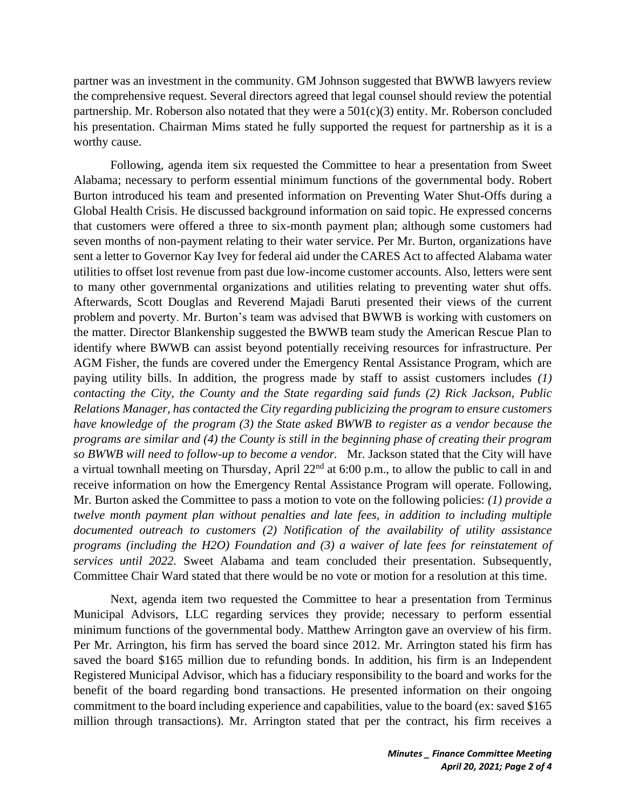partner was an investment in the community. GM Johnson suggested that BWWB lawyers review the comprehensive request. Several directors agreed that legal counsel should review the potential partnership. Mr. Roberson also notated that they were a 501(c)(3) entity. Mr. Roberson concluded his presentation. Chairman Mims stated he fully supported the request for partnership as it is a worthy cause.

Following, agenda item six requested the Committee to hear a presentation from Sweet Alabama; necessary to perform essential minimum functions of the governmental body. Robert Burton introduced his team and presented information on Preventing Water Shut-Offs during a Global Health Crisis. He discussed background information on said topic. He expressed concerns that customers were offered a three to six-month payment plan; although some customers had seven months of non-payment relating to their water service. Per Mr. Burton, organizations have sent a letter to Governor Kay Ivey for federal aid under the CARES Act to affected Alabama water utilities to offset lost revenue from past due low-income customer accounts. Also, letters were sent to many other governmental organizations and utilities relating to preventing water shut offs. Afterwards, Scott Douglas and Reverend Majadi Baruti presented their views of the current problem and poverty. Mr. Burton's team was advised that BWWB is working with customers on the matter. Director Blankenship suggested the BWWB team study the American Rescue Plan to identify where BWWB can assist beyond potentially receiving resources for infrastructure. Per AGM Fisher, the funds are covered under the Emergency Rental Assistance Program, which are paying utility bills. In addition, the progress made by staff to assist customers includes *(1) contacting the City, the County and the State regarding said funds (2) Rick Jackson, Public Relations Manager, has contacted the City regarding publicizing the program to ensure customers have knowledge of the program (3) the State asked BWWB to register as a vendor because the programs are similar and (4) the County is still in the beginning phase of creating their program so BWWB will need to follow-up to become a vendor.* Mr. Jackson stated that the City will have a virtual townhall meeting on Thursday, April  $22<sup>nd</sup>$  at 6:00 p.m., to allow the public to call in and receive information on how the Emergency Rental Assistance Program will operate. Following, Mr. Burton asked the Committee to pass a motion to vote on the following policies: *(1) provide a twelve month payment plan without penalties and late fees, in addition to including multiple documented outreach to customers (2) Notification of the availability of utility assistance programs (including the H2O) Foundation and (3) a waiver of late fees for reinstatement of services until 2022.* Sweet Alabama and team concluded their presentation. Subsequently, Committee Chair Ward stated that there would be no vote or motion for a resolution at this time.

Next, agenda item two requested the Committee to hear a presentation from Terminus Municipal Advisors, LLC regarding services they provide; necessary to perform essential minimum functions of the governmental body. Matthew Arrington gave an overview of his firm. Per Mr. Arrington, his firm has served the board since 2012. Mr. Arrington stated his firm has saved the board \$165 million due to refunding bonds. In addition, his firm is an Independent Registered Municipal Advisor, which has a fiduciary responsibility to the board and works for the benefit of the board regarding bond transactions. He presented information on their ongoing commitment to the board including experience and capabilities, value to the board (ex: saved \$165 million through transactions). Mr. Arrington stated that per the contract, his firm receives a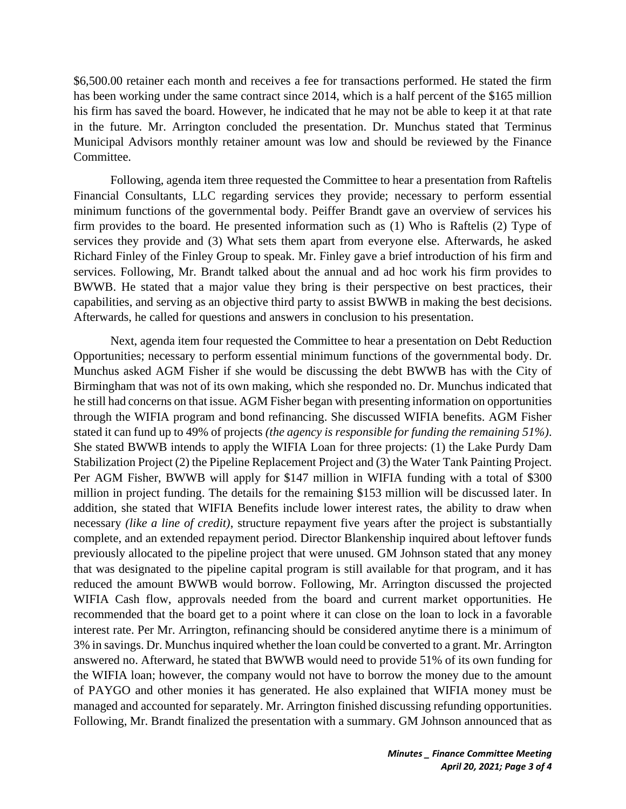\$6,500.00 retainer each month and receives a fee for transactions performed. He stated the firm has been working under the same contract since 2014, which is a half percent of the \$165 million his firm has saved the board. However, he indicated that he may not be able to keep it at that rate in the future. Mr. Arrington concluded the presentation. Dr. Munchus stated that Terminus Municipal Advisors monthly retainer amount was low and should be reviewed by the Finance Committee.

Following, agenda item three requested the Committee to hear a presentation from Raftelis Financial Consultants, LLC regarding services they provide; necessary to perform essential minimum functions of the governmental body. Peiffer Brandt gave an overview of services his firm provides to the board. He presented information such as (1) Who is Raftelis (2) Type of services they provide and (3) What sets them apart from everyone else. Afterwards, he asked Richard Finley of the Finley Group to speak. Mr. Finley gave a brief introduction of his firm and services. Following, Mr. Brandt talked about the annual and ad hoc work his firm provides to BWWB. He stated that a major value they bring is their perspective on best practices, their capabilities, and serving as an objective third party to assist BWWB in making the best decisions. Afterwards, he called for questions and answers in conclusion to his presentation.

Next, agenda item four requested the Committee to hear a presentation on Debt Reduction Opportunities; necessary to perform essential minimum functions of the governmental body. Dr. Munchus asked AGM Fisher if she would be discussing the debt BWWB has with the City of Birmingham that was not of its own making, which she responded no. Dr. Munchus indicated that he still had concerns on that issue. AGM Fisher began with presenting information on opportunities through the WIFIA program and bond refinancing. She discussed WIFIA benefits. AGM Fisher stated it can fund up to 49% of projects *(the agency is responsible for funding the remaining 51%)*. She stated BWWB intends to apply the WIFIA Loan for three projects: (1) the Lake Purdy Dam Stabilization Project (2) the Pipeline Replacement Project and (3) the Water Tank Painting Project. Per AGM Fisher, BWWB will apply for \$147 million in WIFIA funding with a total of \$300 million in project funding. The details for the remaining \$153 million will be discussed later. In addition, she stated that WIFIA Benefits include lower interest rates, the ability to draw when necessary *(like a line of credit)*, structure repayment five years after the project is substantially complete, and an extended repayment period. Director Blankenship inquired about leftover funds previously allocated to the pipeline project that were unused. GM Johnson stated that any money that was designated to the pipeline capital program is still available for that program, and it has reduced the amount BWWB would borrow. Following, Mr. Arrington discussed the projected WIFIA Cash flow, approvals needed from the board and current market opportunities. He recommended that the board get to a point where it can close on the loan to lock in a favorable interest rate. Per Mr. Arrington, refinancing should be considered anytime there is a minimum of 3% in savings. Dr. Munchus inquired whether the loan could be converted to a grant. Mr. Arrington answered no. Afterward, he stated that BWWB would need to provide 51% of its own funding for the WIFIA loan; however, the company would not have to borrow the money due to the amount of PAYGO and other monies it has generated. He also explained that WIFIA money must be managed and accounted for separately. Mr. Arrington finished discussing refunding opportunities. Following, Mr. Brandt finalized the presentation with a summary. GM Johnson announced that as